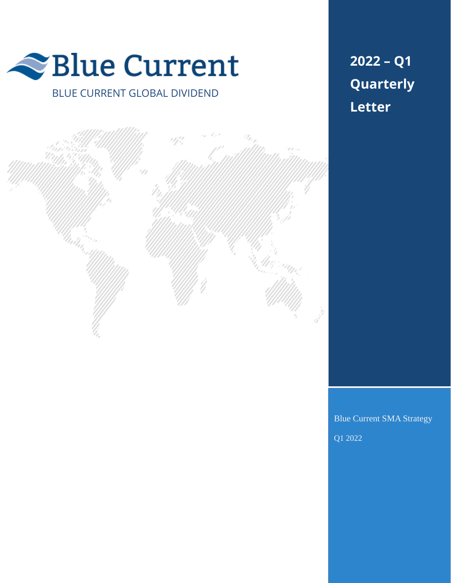

BLUE CURRENT GLOBAL DIVIDEND

**2022 – Q1 Quarterly Letter**



Blue Current SMA Strategy

Q1 2022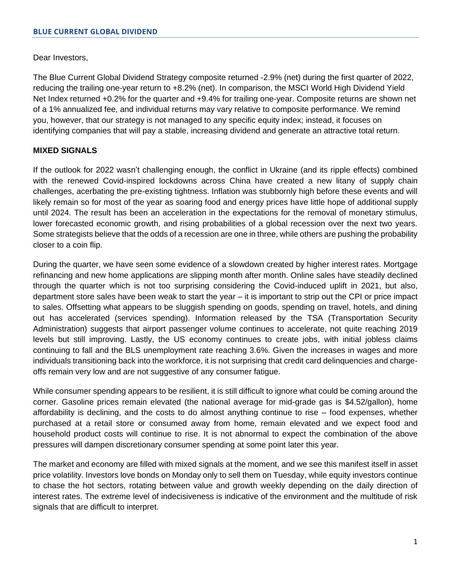Dear Investors,

The Blue Current Global Dividend Strategy composite returned -2.9% (net) during the first quarter of 2022, reducing the trailing one-year return to +8.2% (net). In comparison, the MSCI World High Dividend Yield Net Index returned +0.2% for the quarter and +9.4% for trailing one-year. Composite returns are shown net of a 1% annualized fee, and individual returns may vary relative to composite performance. We remind you, however, that our strategy is not managed to any specific equity index; instead, it focuses on identifying companies that will pay a stable, increasing dividend and generate an attractive total return.

# **MIXED SIGNALS**

If the outlook for 2022 wasn't challenging enough, the conflict in Ukraine (and its ripple effects) combined with the renewed Covid-inspired lockdowns across China have created a new litany of supply chain challenges, acerbating the pre-existing tightness. Inflation was stubbornly high before these events and will likely remain so for most of the year as soaring food and energy prices have little hope of additional supply until 2024. The result has been an acceleration in the expectations for the removal of monetary stimulus, lower forecasted economic growth, and rising probabilities of a global recession over the next two years. Some strategists believe that the odds of a recession are one in three, while others are pushing the probability closer to a coin flip.

During the quarter, we have seen some evidence of a slowdown created by higher interest rates. Mortgage refinancing and new home applications are slipping month after month. Online sales have steadily declined through the quarter which is not too surprising considering the Covid-induced uplift in 2021, but also, department store sales have been weak to start the year – it is important to strip out the CPI or price impact to sales. Offsetting what appears to be sluggish spending on goods, spending on travel, hotels, and dining out has accelerated (services spending). Information released by the TSA (Transportation Security Administration) suggests that airport passenger volume continues to accelerate, not quite reaching 2019 levels but still improving. Lastly, the US economy continues to create jobs, with initial jobless claims continuing to fall and the BLS unemployment rate reaching 3.6%. Given the increases in wages and more individuals transitioning back into the workforce, it is not surprising that credit card delinquencies and chargeoffs remain very low and are not suggestive of any consumer fatigue.

While consumer spending appears to be resilient, it is still difficult to ignore what could be coming around the corner. Gasoline prices remain elevated (the national average for mid-grade gas is \$4.52/gallon), home affordability is declining, and the costs to do almost anything continue to rise – food expenses, whether purchased at a retail store or consumed away from home, remain elevated and we expect food and household product costs will continue to rise. It is not abnormal to expect the combination of the above pressures will dampen discretionary consumer spending at some point later this year.

The market and economy are filled with mixed signals at the moment, and we see this manifest itself in asset price volatility. Investors love bonds on Monday only to sell them on Tuesday, while equity investors continue to chase the hot sectors, rotating between value and growth weekly depending on the daily direction of interest rates. The extreme level of indecisiveness is indicative of the environment and the multitude of risk signals that are difficult to interpret.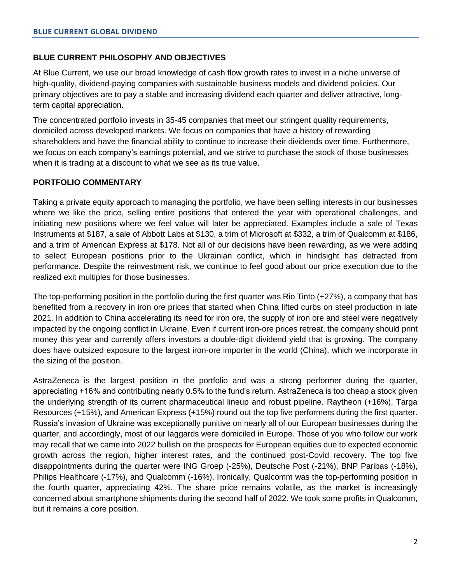# **BLUE CURRENT PHILOSOPHY AND OBJECTIVES**

At Blue Current, we use our broad knowledge of cash flow growth rates to invest in a niche universe of high-quality, dividend-paying companies with sustainable business models and dividend policies. Our primary objectives are to pay a stable and increasing dividend each quarter and deliver attractive, longterm capital appreciation.

The concentrated portfolio invests in 35-45 companies that meet our stringent quality requirements, domiciled across developed markets. We focus on companies that have a history of rewarding shareholders and have the financial ability to continue to increase their dividends over time. Furthermore, we focus on each company's earnings potential, and we strive to purchase the stock of those businesses when it is trading at a discount to what we see as its true value.

# **PORTFOLIO COMMENTARY**

Taking a private equity approach to managing the portfolio, we have been selling interests in our businesses where we like the price, selling entire positions that entered the year with operational challenges, and initiating new positions where we feel value will later be appreciated. Examples include a sale of Texas Instruments at \$187, a sale of Abbott Labs at \$130, a trim of Microsoft at \$332, a trim of Qualcomm at \$186, and a trim of American Express at \$178. Not all of our decisions have been rewarding, as we were adding to select European positions prior to the Ukrainian conflict, which in hindsight has detracted from performance. Despite the reinvestment risk, we continue to feel good about our price execution due to the realized exit multiples for those businesses.

The top-performing position in the portfolio during the first quarter was Rio Tinto (+27%), a company that has benefited from a recovery in iron ore prices that started when China lifted curbs on steel production in late 2021. In addition to China accelerating its need for iron ore, the supply of iron ore and steel were negatively impacted by the ongoing conflict in Ukraine. Even if current iron-ore prices retreat, the company should print money this year and currently offers investors a double-digit dividend yield that is growing. The company does have outsized exposure to the largest iron-ore importer in the world (China), which we incorporate in the sizing of the position.

AstraZeneca is the largest position in the portfolio and was a strong performer during the quarter, appreciating +16% and contributing nearly 0.5% to the fund's return. AstraZeneca is too cheap a stock given the underlying strength of its current pharmaceutical lineup and robust pipeline. Raytheon (+16%), Targa Resources (+15%), and American Express (+15%) round out the top five performers during the first quarter. Russia's invasion of Ukraine was exceptionally punitive on nearly all of our European businesses during the quarter, and accordingly, most of our laggards were domiciled in Europe. Those of you who follow our work may recall that we came into 2022 bullish on the prospects for European equities due to expected economic growth across the region, higher interest rates, and the continued post-Covid recovery. The top five disappointments during the quarter were ING Groep (-25%), Deutsche Post (-21%), BNP Paribas (-18%), Philips Healthcare (-17%), and Qualcomm (-16%). Ironically, Qualcomm was the top-performing position in the fourth quarter, appreciating 42%. The share price remains volatile, as the market is increasingly concerned about smartphone shipments during the second half of 2022. We took some profits in Qualcomm, but it remains a core position.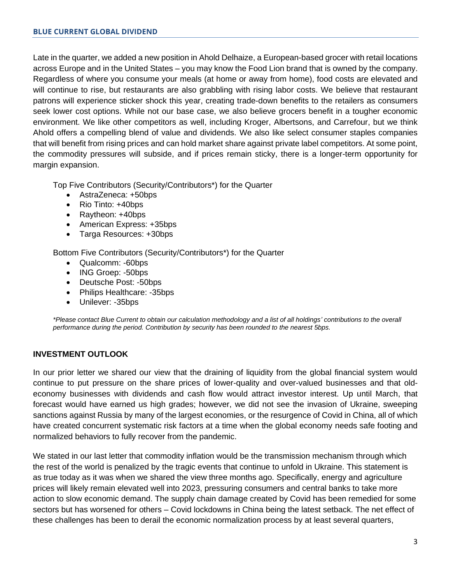Late in the quarter, we added a new position in Ahold Delhaize, a European-based grocer with retail locations across Europe and in the United States – you may know the Food Lion brand that is owned by the company. Regardless of where you consume your meals (at home or away from home), food costs are elevated and will continue to rise, but restaurants are also grabbling with rising labor costs. We believe that restaurant patrons will experience sticker shock this year, creating trade-down benefits to the retailers as consumers seek lower cost options. While not our base case, we also believe grocers benefit in a tougher economic environment. We like other competitors as well, including Kroger, Albertsons, and Carrefour, but we think Ahold offers a compelling blend of value and dividends. We also like select consumer staples companies that will benefit from rising prices and can hold market share against private label competitors. At some point, the commodity pressures will subside, and if prices remain sticky, there is a longer-term opportunity for margin expansion.

Top Five Contributors (Security/Contributors\*) for the Quarter

- AstraZeneca: +50bps
- Rio Tinto: +40bps
- Raytheon: +40bps
- American Express: +35bps
- Targa Resources: +30bps

Bottom Five Contributors (Security/Contributors\*) for the Quarter

- Qualcomm: -60bps
- ING Groep: -50bps
- Deutsche Post: -50bps
- Philips Healthcare: -35bps
- Unilever: -35bps

*\*Please contact Blue Current to obtain our calculation methodology and a list of all holdings' contributions to the overall performance during the period. Contribution by security has been rounded to the nearest 5bps.*

# **INVESTMENT OUTLOOK**

In our prior letter we shared our view that the draining of liquidity from the global financial system would continue to put pressure on the share prices of lower-quality and over-valued businesses and that oldeconomy businesses with dividends and cash flow would attract investor interest. Up until March, that forecast would have earned us high grades; however, we did not see the invasion of Ukraine, sweeping sanctions against Russia by many of the largest economies, or the resurgence of Covid in China, all of which have created concurrent systematic risk factors at a time when the global economy needs safe footing and normalized behaviors to fully recover from the pandemic.

We stated in our last letter that commodity inflation would be the transmission mechanism through which the rest of the world is penalized by the tragic events that continue to unfold in Ukraine. This statement is as true today as it was when we shared the view three months ago. Specifically, energy and agriculture prices will likely remain elevated well into 2023, pressuring consumers and central banks to take more action to slow economic demand. The supply chain damage created by Covid has been remedied for some sectors but has worsened for others – Covid lockdowns in China being the latest setback. The net effect of these challenges has been to derail the economic normalization process by at least several quarters,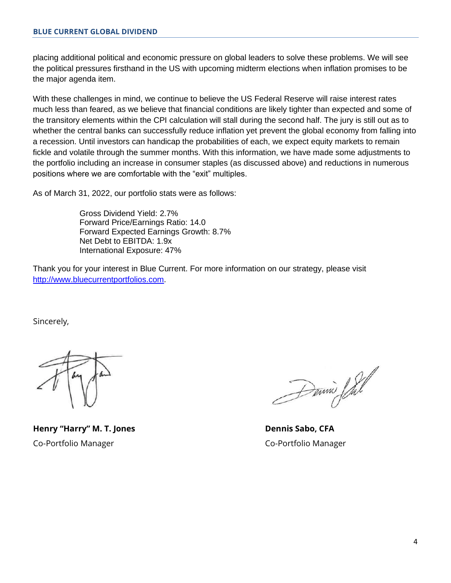placing additional political and economic pressure on global leaders to solve these problems. We will see the political pressures firsthand in the US with upcoming midterm elections when inflation promises to be the major agenda item.

With these challenges in mind, we continue to believe the US Federal Reserve will raise interest rates much less than feared, as we believe that financial conditions are likely tighter than expected and some of the transitory elements within the CPI calculation will stall during the second half. The jury is still out as to whether the central banks can successfully reduce inflation yet prevent the global economy from falling into a recession. Until investors can handicap the probabilities of each, we expect equity markets to remain fickle and volatile through the summer months. With this information, we have made some adjustments to the portfolio including an increase in consumer staples (as discussed above) and reductions in numerous positions where we are comfortable with the "exit" multiples.

As of March 31, 2022, our portfolio stats were as follows:

Gross Dividend Yield: 2.7% Forward Price/Earnings Ratio: 14.0 Forward Expected Earnings Growth: 8.7% Net Debt to EBITDA: 1.9x International Exposure: 47%

Thank you for your interest in Blue Current. For more information on our strategy, please visit [http://www.bluecurrentportfolios.com.](http://www.bluecurrentportfolios.com/)

Sincerely,

**Henry "Harry" M. T. Jones Dennis Sabo, CFA** Co-Portfolio Manager Co-Portfolio Manager

Donnie Sal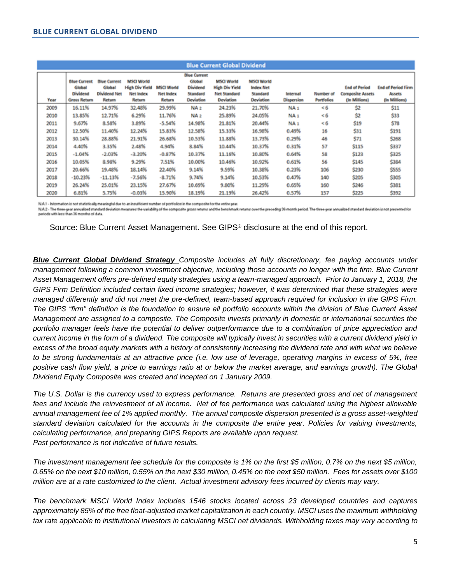| <b>Blue Current Global Dividend</b> |                                                                  |                                                                |                                                                          |                                                 |                                                                           |                                                                                |                                                                       |                               |                                |                                                                  |                                                      |
|-------------------------------------|------------------------------------------------------------------|----------------------------------------------------------------|--------------------------------------------------------------------------|-------------------------------------------------|---------------------------------------------------------------------------|--------------------------------------------------------------------------------|-----------------------------------------------------------------------|-------------------------------|--------------------------------|------------------------------------------------------------------|------------------------------------------------------|
| Year                                | <b>Blue Current</b><br>Global<br>Dividend<br><b>Gross Return</b> | <b>Blue Current</b><br>Global<br><b>Dividend Net</b><br>Return | <b>MSCI World</b><br><b>High Div Yield</b><br><b>Net Index</b><br>Return | <b>MSCI World</b><br><b>Net Index</b><br>Return | <b>Blue Current</b><br>Global<br>Dividend<br>Standard<br><b>Deviation</b> | <b>MSCI World</b><br>High Div Yield<br><b>Net Standard</b><br><b>Deviation</b> | <b>MSCI World</b><br><b>Index Net</b><br>Standard<br><b>Deviation</b> | Internal<br><b>Dispersion</b> | Number of<br><b>Portfolios</b> | <b>End of Period</b><br><b>Composite Assets</b><br>(In Millions) | <b>End of Period Firm</b><br>Assets<br>(In Millions) |
| 2009                                | 16.11%                                                           | 14.97%                                                         | 32.48%                                                                   | 29.99%                                          | NA <sub>2</sub>                                                           | 24.23%                                                                         | 21.70%                                                                | NA <sub>1</sub>               | <6                             | \$2                                                              | \$11                                                 |
| 2010                                | 13.85%                                                           | 12.71%                                                         | 6.29%                                                                    | 11.76%                                          | NA <sub>2</sub>                                                           | 25.89%                                                                         | 24.05%                                                                | NA <sub>1</sub>               | < 6                            | \$2                                                              | \$33                                                 |
| 2011                                | 9.67%                                                            | 8.58%                                                          | 3.89%                                                                    | $-5.54%$                                        | 14.98%                                                                    | 21.81%                                                                         | 20.44%                                                                | NA <sub>1</sub>               | < 6                            | \$19                                                             | \$78                                                 |
| 2012                                | 12.50%                                                           | 11.40%                                                         | 12.24%                                                                   | 15.83%                                          | 12.58%                                                                    | 15.33%                                                                         | 16.98%                                                                | 0.49%                         | 16                             | \$31                                                             | \$191                                                |
| 2013                                | 30.14%                                                           | 28.88%                                                         | 21.91%                                                                   | 26.68%                                          | 10.53%                                                                    | 11.88%                                                                         | 13.73%                                                                | 0.29%                         | 46                             | \$71                                                             | \$268                                                |
| 2014                                | 4.40%                                                            | 3.35%                                                          | 2.48%                                                                    | 4.94%                                           | 8.84%                                                                     | 10.44%                                                                         | 10.37%                                                                | 0.31%                         | 57                             | \$115                                                            | \$337                                                |
| 2015                                | $-1.04%$                                                         | $-2.03%$                                                       | $-3.20%$                                                                 | $-0.87%$                                        | 10.37%                                                                    | 11.16%                                                                         | 10.80%                                                                | 0.64%                         | 58                             | \$123                                                            | \$325                                                |
| 2016                                | 10.05%                                                           | 8.98%                                                          | 9.29%                                                                    | 7.51%                                           | 10.00%                                                                    | 10.46%                                                                         | 10.92%                                                                | 0.61%                         | 56                             | \$145                                                            | \$384                                                |
| 2017                                | 20.66%                                                           | 19.48%                                                         | 18.14%                                                                   | 22.40%                                          | 9.14%                                                                     | 9.59%                                                                          | 10.38%                                                                | 0.23%                         | 106                            | \$230                                                            | \$555                                                |
| 2018                                | $-10.23\%$                                                       | $-11.13%$                                                      | $-7.56%$                                                                 | $-8.71%$                                        | 9.74%                                                                     | 9.14%                                                                          | 10.53%                                                                | 0.47%                         | 140                            | \$205                                                            | \$305                                                |
| 2019                                | 26.24%                                                           | 25.01%                                                         | 23.15%                                                                   | 27.67%                                          | 10.69%                                                                    | 9.80%                                                                          | 11.29%                                                                | 0.65%                         | 160                            | \$246                                                            | \$381                                                |
| 2020                                | 6.81%                                                            | 5.75%                                                          | $-0.03%$                                                                 | 15.90%                                          | 18.19%                                                                    | 21.19%                                                                         | 26.42%                                                                | 0.57%                         | 157                            | \$225                                                            | \$392                                                |

N.A.1 - Information is not statistically meaningful due to an insufficient number of portfolios in the composite for the entire year

NA2 - The three prar annuilled standard deviation measures the variability of the composite gross returns and the benchmark returns over the preceding 26-month period. The three prar annualized standard deviation is not pr

Source: Blue Current Asset Management. See GIPS® disclosure at the end of this report.

*Blue Current Global Dividend Strategy Composite includes all fully discretionary, fee paying accounts under management following a common investment objective, including those accounts no longer with the firm. Blue Current Asset Management offers pre-defined equity strategies using a team-managed approach. Prior to January 1, 2018, the GIPS Firm Definition included certain fixed income strategies; however, it was determined that these strategies were managed differently and did not meet the pre-defined, team-based approach required for inclusion in the GIPS Firm. The GIPS "firm" definition is the foundation to ensure all portfolio accounts within the division of Blue Current Asset Management are assigned to a composite. The Composite invests primarily in domestic or international securities the portfolio manager feels have the potential to deliver outperformance due to a combination of price appreciation and current income in the form of a dividend. The composite will typically invest in securities with a current dividend yield in excess of the broad equity markets with a history of consistently increasing the dividend rate and with what we believe to be strong fundamentals at an attractive price (i.e. low use of leverage, operating margins in excess of 5%, free positive cash flow yield, a price to earnings ratio at or below the market average, and earnings growth). The Global Dividend Equity Composite was created and incepted on 1 January 2009.* 

*The U.S. Dollar is the currency used to express performance. Returns are presented gross and net of management fees and include the reinvestment of all income.* Net of fee performance was calculated using the highest allowable *annual management fee of 1% applied monthly. The annual composite dispersion presented is a gross asset-weighted standard deviation calculated for the accounts in the composite the entire year. Policies for valuing investments, calculating performance, and preparing GIPS Reports are available upon request. Past performance is not indicative of future results.* 

*The investment management fee schedule for the composite is 1% on the first \$5 million, 0.7% on the next \$5 million, 0.65% on the next \$10 million, 0.55% on the next \$30 million, 0.45% on the next \$50 million. Fees for assets over \$100 million are at a rate customized to the client. Actual investment advisory fees incurred by clients may vary.*

*The benchmark MSCI World Index includes 1546 stocks located across 23 developed countries and captures approximately 85% of the free float-adjusted market capitalization in each country. MSCI uses the maximum withholding tax rate applicable to institutional investors in calculating MSCI net dividends. Withholding taxes may vary according to*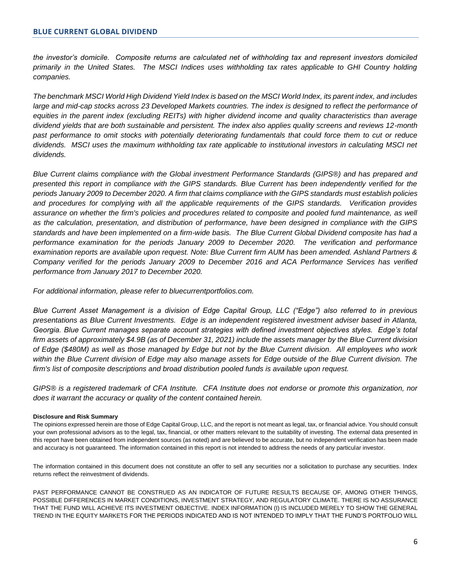*the investor's domicile. Composite returns are calculated net of withholding tax and represent investors domiciled primarily in the United States. The MSCI Indices uses withholding tax rates applicable to GHI Country holding companies.* 

*The benchmark MSCI World High Dividend Yield Index is based on the MSCI World Index, its parent index, and includes large and mid-cap stocks across 23 Developed Markets countries. The index is designed to reflect the performance of equities in the parent index (excluding REITs) with higher dividend income and quality characteristics than average dividend yields that are both sustainable and persistent. The index also applies quality screens and reviews 12-month past performance to omit stocks with potentially deteriorating fundamentals that could force them to cut or reduce*  dividends. MSCI uses the maximum withholding tax rate applicable to institutional investors in calculating MSCI net *dividends.* 

*Blue Current claims compliance with the Global investment Performance Standards (GIPS®) and has prepared and presented this report in compliance with the GIPS standards. Blue Current has been independently verified for the periods January 2009 to December 2020. A firm that claims compliance with the GIPS standards must establish policies and procedures for complying with all the applicable requirements of the GIPS standards. Verification provides*  assurance on whether the firm's policies and procedures related to composite and pooled fund maintenance, as well *as the calculation, presentation, and distribution of performance, have been designed in compliance with the GIPS standards and have been implemented on a firm-wide basis. The Blue Current Global Dividend composite has had a performance examination for the periods January 2009 to December 2020. The verification and performance examination reports are available upon request. Note: Blue Current firm AUM has been amended. Ashland Partners & Company verified for the periods January 2009 to December 2016 and ACA Performance Services has verified performance from January 2017 to December 2020.* 

*For additional information, please refer to bluecurrentportfolios.com.*

*Blue Current Asset Management is a division of Edge Capital Group, LLC ("Edge") also referred to in previous presentations as Blue Current Investments. Edge is an independent registered investment adviser based in Atlanta, Georgia. Blue Current manages separate account strategies with defined investment objectives styles. Edge's total firm assets of approximately \$4.9B (as of December 31, 2021) include the assets manager by the Blue Current division of Edge (\$480M) as well as those managed by Edge but not by the Blue Current division. All employees who work within the Blue Current division of Edge may also manage assets for Edge outside of the Blue Current division. The firm's list of composite descriptions and broad distribution pooled funds is available upon request.*

*GIPS® is a registered trademark of CFA Institute. CFA Institute does not endorse or promote this organization, nor does it warrant the accuracy or quality of the content contained herein.*

#### **Disclosure and Risk Summary**

The opinions expressed herein are those of Edge Capital Group, LLC, and the report is not meant as legal, tax, or financial advice. You should consult your own professional advisors as to the legal, tax, financial, or other matters relevant to the suitability of investing. The external data presented in this report have been obtained from independent sources (as noted) and are believed to be accurate, but no independent verification has been made and accuracy is not guaranteed. The information contained in this report is not intended to address the needs of any particular investor.

The information contained in this document does not constitute an offer to sell any securities nor a solicitation to purchase any securities. Index returns reflect the reinvestment of dividends.

PAST PERFORMANCE CANNOT BE CONSTRUED AS AN INDICATOR OF FUTURE RESULTS BECAUSE OF, AMONG OTHER THINGS, POSSIBLE DIFFERENCES IN MARKET CONDITIONS, INVESTMENT STRATEGY, AND REGULATORY CLIMATE. THERE IS NO ASSURANCE THAT THE FUND WILL ACHIEVE ITS INVESTMENT OBJECTIVE. INDEX INFORMATION (I) IS INCLUDED MERELY TO SHOW THE GENERAL TREND IN THE EQUITY MARKETS FOR THE PERIODS INDICATED AND IS NOT INTENDED TO IMPLY THAT THE FUND'S PORTFOLIO WILL